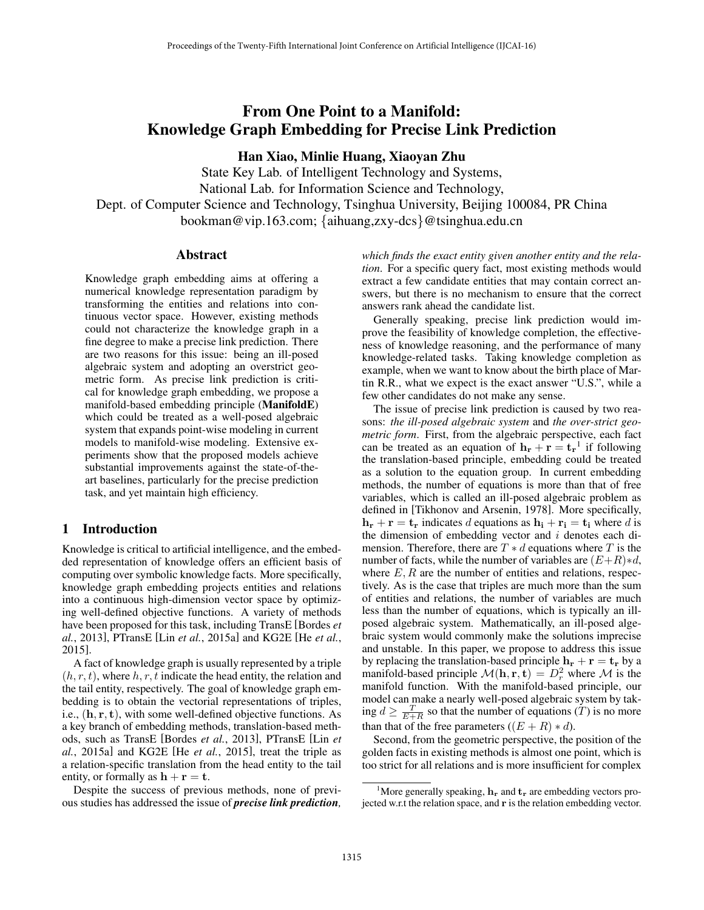# From One Point to a Manifold: Knowledge Graph Embedding for Precise Link Prediction

Han Xiao, Minlie Huang, Xiaoyan Zhu

State Key Lab. of Intelligent Technology and Systems, National Lab. for Information Science and Technology, Dept. of Computer Science and Technology, Tsinghua University, Beijing 100084, PR China bookman@vip.163.com; *{*aihuang,zxy-dcs*}*@tsinghua.edu.cn

## Abstract

Knowledge graph embedding aims at offering a numerical knowledge representation paradigm by transforming the entities and relations into continuous vector space. However, existing methods could not characterize the knowledge graph in a fine degree to make a precise link prediction. There are two reasons for this issue: being an ill-posed algebraic system and adopting an overstrict geometric form. As precise link prediction is critical for knowledge graph embedding, we propose a manifold-based embedding principle (ManifoldE) which could be treated as a well-posed algebraic system that expands point-wise modeling in current models to manifold-wise modeling. Extensive experiments show that the proposed models achieve substantial improvements against the state-of-theart baselines, particularly for the precise prediction task, and yet maintain high efficiency.

## 1 Introduction

Knowledge is critical to artificial intelligence, and the embedded representation of knowledge offers an efficient basis of computing over symbolic knowledge facts. More specifically, knowledge graph embedding projects entities and relations into a continuous high-dimension vector space by optimizing well-defined objective functions. A variety of methods have been proposed for this task, including TransE [Bordes *et al.*, 2013], PTransE [Lin *et al.*, 2015a] and KG2E [He *et al.*, 2015].

A fact of knowledge graph is usually represented by a triple  $(h, r, t)$ , where  $h, r, t$  indicate the head entity, the relation and the tail entity, respectively. The goal of knowledge graph embedding is to obtain the vectorial representations of triples, i.e., (h*,* r*,* t), with some well-defined objective functions. As a key branch of embedding methods, translation-based methods, such as TransE [Bordes *et al.*, 2013], PTransE [Lin *et al.*, 2015a] and KG2E [He *et al.*, 2015], treat the triple as a relation-specific translation from the head entity to the tail entity, or formally as  $\mathbf{h} + \mathbf{r} = \mathbf{t}$ .

Despite the success of previous methods, none of previous studies has addressed the issue of *precise link prediction,* *which finds the exact entity given another entity and the relation*. For a specific query fact, most existing methods would extract a few candidate entities that may contain correct answers, but there is no mechanism to ensure that the correct answers rank ahead the candidate list.

Generally speaking, precise link prediction would improve the feasibility of knowledge completion, the effectiveness of knowledge reasoning, and the performance of many knowledge-related tasks. Taking knowledge completion as example, when we want to know about the birth place of Martin R.R., what we expect is the exact answer "U.S.", while a few other candidates do not make any sense.

The issue of precise link prediction is caused by two reasons: *the ill-posed algebraic system* and *the over-strict geometric form*. First, from the algebraic perspective, each fact can be treated as an equation of  $\mathbf{h}_{\mathbf{r}} + \mathbf{r} = \mathbf{t}_{\mathbf{r}}^{\mathsf{T}}$  if following the translation-based principle, embedding could be treated as a solution to the equation group. In current embedding methods, the number of equations is more than that of free variables, which is called an ill-posed algebraic problem as defined in [Tikhonov and Arsenin, 1978]. More specifically,  $h_r + r = t_r$  indicates *d* equations as  $h_i + r_i = t_i$  where *d* is the dimension of embedding vector and *i* denotes each dimension. Therefore, there are  $T * d$  equations where  $T$  is the number of facts, while the number of variables are  $(E+R)*d$ , where  $E, R$  are the number of entities and relations, respectively. As is the case that triples are much more than the sum of entities and relations, the number of variables are much less than the number of equations, which is typically an illposed algebraic system. Mathematically, an ill-posed algebraic system would commonly make the solutions imprecise and unstable. In this paper, we propose to address this issue by replacing the translation-based principle  $h_r + r = t_r$  by a manifold-based principle  $\mathcal{M}(\mathbf{h}, \mathbf{r}, \mathbf{t}) = D_r^2$  where  $\mathcal M$  is the manifold function. With the manifold-based principle, our model can make a nearly well-posed algebraic system by taking  $d \ge \frac{T}{E+R}$  so that the number of equations  $(T)$  is no more than that of the free parameters  $((E + R) * d)$ .

Second, from the geometric perspective, the position of the golden facts in existing methods is almost one point, which is too strict for all relations and is more insufficient for complex

<sup>&</sup>lt;sup>1</sup>More generally speaking,  $h_r$  and  $t_r$  are embedding vectors projected w.r.t the relation space, and r is the relation embedding vector.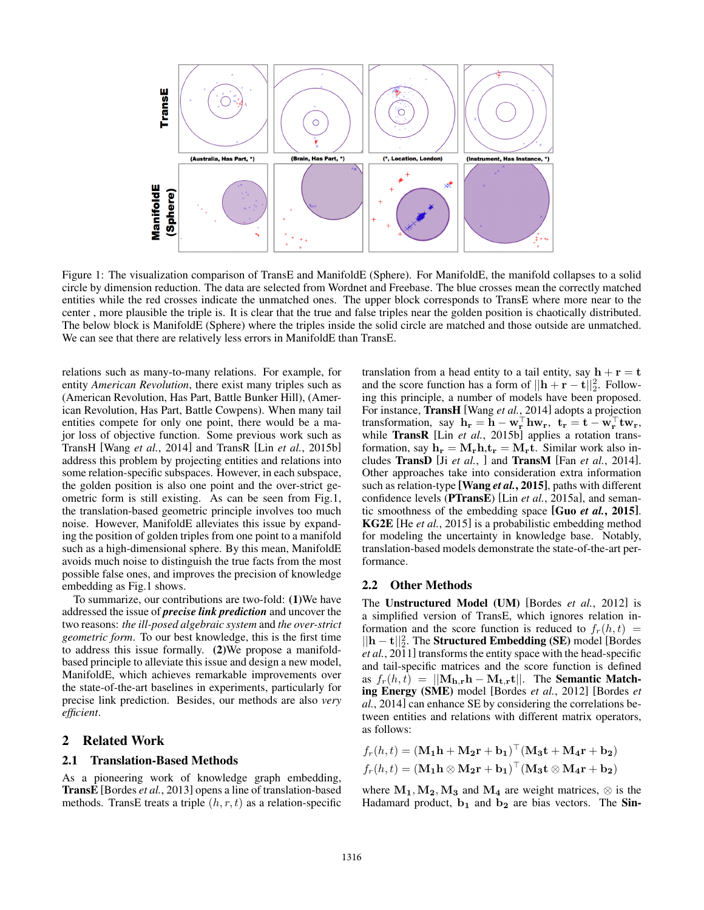

Figure 1: The visualization comparison of TransE and ManifoldE (Sphere). For ManifoldE, the manifold collapses to a solid circle by dimension reduction. The data are selected from Wordnet and Freebase. The blue crosses mean the correctly matched entities while the red crosses indicate the unmatched ones. The upper block corresponds to TransE where more near to the center , more plausible the triple is. It is clear that the true and false triples near the golden position is chaotically distributed. The below block is ManifoldE (Sphere) where the triples inside the solid circle are matched and those outside are unmatched. We can see that there are relatively less errors in ManifoldE than TransE.

relations such as many-to-many relations. For example, for entity *American Revolution*, there exist many triples such as (American Revolution, Has Part, Battle Bunker Hill), (American Revolution, Has Part, Battle Cowpens). When many tail entities compete for only one point, there would be a major loss of objective function. Some previous work such as TransH [Wang *et al.*, 2014] and TransR [Lin *et al.*, 2015b] address this problem by projecting entities and relations into some relation-specific subspaces. However, in each subspace, the golden position is also one point and the over-strict geometric form is still existing. As can be seen from Fig.1, the translation-based geometric principle involves too much noise. However, ManifoldE alleviates this issue by expanding the position of golden triples from one point to a manifold such as a high-dimensional sphere. By this mean, ManifoldE avoids much noise to distinguish the true facts from the most possible false ones, and improves the precision of knowledge embedding as Fig.1 shows.

To summarize, our contributions are two-fold: (1)We have addressed the issue of *precise link prediction* and uncover the two reasons: *the ill-posed algebraic system* and *the over-strict geometric form*. To our best knowledge, this is the first time to address this issue formally. (2)We propose a manifoldbased principle to alleviate this issue and design a new model, ManifoldE, which achieves remarkable improvements over the state-of-the-art baselines in experiments, particularly for precise link prediction. Besides, our methods are also *very efficient*.

## 2 Related Work

## 2.1 Translation-Based Methods

As a pioneering work of knowledge graph embedding, TransE [Bordes *et al.*, 2013] opens a line of translation-based methods. TransE treats a triple (*h, r, t*) as a relation-specific translation from a head entity to a tail entity, say  $h + r = t$ and the score function has a form of  $||\mathbf{h} + \mathbf{r} - \mathbf{t}||_2^2$ . Following this principle, a number of models have been proposed. For instance, TransH [Wang *et al.*, 2014] adopts a projection transformation, say  $\mathbf{h}_r = \mathbf{h} - \mathbf{w}_r^{\top} \mathbf{h} \mathbf{w}_r$ ,  $\mathbf{t}_r = \mathbf{t} - \mathbf{w}_r^{\top} \mathbf{t} \mathbf{w}_r$ , while TransR [Lin *et al.*, 2015b] applies a rotation transformation, say  $h_r = M_r h, t_r = M_r t$ . Similar work also includes TransD [Ji *et al.*, ] and TransM [Fan *et al.*, 2014]. Other approaches take into consideration extra information such as relation-type [Wang *et al.*, 2015], paths with different confidence levels (PTransE) [Lin *et al.*, 2015a], and semantic smoothness of the embedding space [Guo *et al.*, 2015]. KG2E [He *et al.*, 2015] is a probabilistic embedding method for modeling the uncertainty in knowledge base. Notably, translation-based models demonstrate the state-of-the-art performance.

#### 2.2 Other Methods

The Unstructured Model (UM) [Bordes *et al.*, 2012] is a simplified version of TransE, which ignores relation information and the score function is reduced to  $f_r(h, t)$  $||\mathbf{h} - \mathbf{t}||_2^2$ . The **Structured Embedding (SE)** model [Bordes] *et al.*, 2011] transforms the entity space with the head-specific and tail-specific matrices and the score function is defined as  $f_r(h,t) = ||\mathbf{M_{h,r}h} - \mathbf{M_{t,r}t}||$ . The **Semantic Match**ing Energy (SME) model [Bordes *et al.*, 2012] [Bordes *et al.*, 2014] can enhance SE by considering the correlations between entities and relations with different matrix operators, as follows:

$$
f_r(h,t) = (\mathbf{M_1h} + \mathbf{M_2r} + \mathbf{b_1})^{\top} (\mathbf{M_3t} + \mathbf{M_4r} + \mathbf{b_2})
$$
  

$$
f_r(h,t) = (\mathbf{M_1h} \otimes \mathbf{M_2r} + \mathbf{b_1})^{\top} (\mathbf{M_3t} \otimes \mathbf{M_4r} + \mathbf{b_2})
$$

where  $M_1, M_2, M_3$  and  $M_4$  are weight matrices,  $\otimes$  is the Hadamard product,  $b_1$  and  $b_2$  are bias vectors. The Sin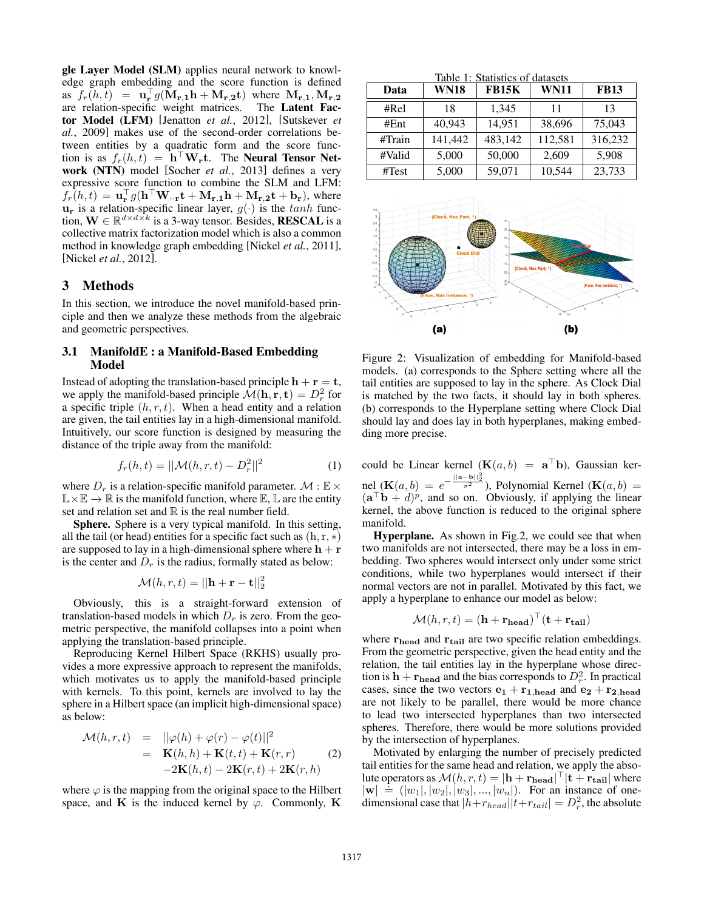gle Layer Model (SLM) applies neural network to knowledge graph embedding and the score function is defined as  $f_r(h,t) = \mathbf{u}_r^{\perp} g(\mathbf{M}_{r,1}\mathbf{h} + \mathbf{M}_{r,2}\mathbf{t})$  where  $\mathbf{M}_{r,1}, \mathbf{M}_{r,2}$ are relation-specific weight matrices. The Latent Factor Model (LFM) [Jenatton *et al.*, 2012], [Sutskever *et al.*, 2009] makes use of the second-order correlations between entities by a quadratic form and the score function is as  $f_r(h, t) = \mathbf{h}^\top \mathbf{W_r}$ t. The **Neural Tensor Net**work (NTN) model [Socher *et al.*, 2013] defines a very expressive score function to combine the SLM and LFM:  $f_r(h,t) = \mathbf{u}_r^{\top} g(\mathbf{h}^{\top} \mathbf{W}_{\cdot} \mathbf{r} \mathbf{t} + \mathbf{M}_{r,1} \mathbf{h} + \mathbf{M}_{r,2} \mathbf{t} + \mathbf{b}_r)$ , where  $\mathbf{u}_r$  is a relation-specific linear layer,  $g(\cdot)$  is the *tanh* function,  $\mathbf{W} \in \mathbb{R}^{d \times d \times k}$  is a 3-way tensor. Besides, **RESCAL** is a collective matrix factorization model which is also a common method in knowledge graph embedding [Nickel *et al.*, 2011], [Nickel *et al.*, 2012].

## 3 Methods

In this section, we introduce the novel manifold-based principle and then we analyze these methods from the algebraic and geometric perspectives.

## 3.1 ManifoldE : a Manifold-Based Embedding Model

Instead of adopting the translation-based principle  $h + r = t$ , we apply the manifold-based principle  $\mathcal{M}(\mathbf{h}, \mathbf{r}, \mathbf{t}) = D_r^2$  for a specific triple  $(h, r, t)$ . When a head entity and a relation are given, the tail entities lay in a high-dimensional manifold. Intuitively, our score function is designed by measuring the distance of the triple away from the manifold:

$$
f_r(h, t) = ||\mathcal{M}(h, r, t) - D_r^2||^2
$$
 (1)

where  $D_r$  is a relation-specific manifold parameter.  $\mathcal{M} : \mathbb{E} \times$  $\mathbb{L}\times\mathbb{E}\to\mathbb{R}$  is the manifold function, where  $\mathbb{E},\mathbb{L}$  are the entity set and relation set and  $\mathbb R$  is the real number field.

Sphere. Sphere is a very typical manifold. In this setting, all the tail (or head) entities for a specific fact such as  $(h, r, *)$ are supposed to lay in a high-dimensional sphere where  $h + r$ is the center and  $D_r$  is the radius, formally stated as below:

$$
\mathcal{M}(h,r,t) = ||\mathbf{h} + \mathbf{r} - \mathbf{t}||_2^2
$$

Obviously, this is a straight-forward extension of translation-based models in which  $D<sub>r</sub>$  is zero. From the geometric perspective, the manifold collapses into a point when applying the translation-based principle.

Reproducing Kernel Hilbert Space (RKHS) usually provides a more expressive approach to represent the manifolds, which motivates us to apply the manifold-based principle with kernels. To this point, kernels are involved to lay the sphere in a Hilbert space (an implicit high-dimensional space) as below:

$$
\mathcal{M}(h,r,t) = ||\varphi(h) + \varphi(r) - \varphi(t)||^2
$$
  
= 
$$
\mathbf{K}(h,h) + \mathbf{K}(t,t) + \mathbf{K}(r,r)
$$
 (2)  
-2
$$
2\mathbf{K}(h,t) - 2\mathbf{K}(r,t) + 2\mathbf{K}(r,h)
$$

where  $\varphi$  is the mapping from the original space to the Hilbert space, and K is the induced kernel by  $\varphi$ . Commonly, K

Table 1: Statistics of datasets

| Data   | <b>WN18</b> | <b>FB15K</b> | <b>WN11</b> | <b>FB13</b> |
|--------|-------------|--------------|-------------|-------------|
| #Rel   | 18          | 1,345        | 11          | 13          |
| #Ent   | 40,943      | 14,951       | 38,696      | 75,043      |
| #Train | 141,442     | 483,142      | 112,581     | 316,232     |
| #Valid | 5,000       | 50,000       | 2,609       | 5,908       |
| #Test  | 5,000       | 59,071       | 10,544      | 23,733      |



Figure 2: Visualization of embedding for Manifold-based models. (a) corresponds to the Sphere setting where all the tail entities are supposed to lay in the sphere. As Clock Dial is matched by the two facts, it should lay in both spheres. (b) corresponds to the Hyperplane setting where Clock Dial should lay and does lay in both hyperplanes, making embedding more precise.

could be Linear kernel  $(K(a, b) = a^{\top}b)$ , Gaussian kernel ( $\mathbf{K}(a, b) = e^{-\frac{||\mathbf{a} - \mathbf{b}||_2^2}{\sigma^2}}$ ), Polynomial Kernel ( $\mathbf{K}(a, b) =$  $({\bf a}^\top {\bf b} + d)^p$ , and so on. Obviously, if applying the linear kernel, the above function is reduced to the original sphere manifold.

Hyperplane. As shown in Fig.2, we could see that when two manifolds are not intersected, there may be a loss in embedding. Two spheres would intersect only under some strict conditions, while two hyperplanes would intersect if their normal vectors are not in parallel. Motivated by this fact, we apply a hyperplane to enhance our model as below:

$$
\mathcal{M}(h,r,t) = (\mathbf{h} + \mathbf{r_{head}})^{\top}(\mathbf{t} + \mathbf{r_{tail}})
$$

where  $r_{\text{head}}$  and  $r_{\text{tail}}$  are two specific relation embeddings. From the geometric perspective, given the head entity and the relation, the tail entities lay in the hyperplane whose direction is  $\mathbf{h} + \mathbf{r_{head}}$  and the bias corresponds to  $D_r^2$ . In practical cases, since the two vectors  $\mathbf{e}_1 + \mathbf{r}_{1,\text{head}}$  and  $\mathbf{e}_2 + \mathbf{r}_{2,\text{head}}$ are not likely to be parallel, there would be more chance to lead two intersected hyperplanes than two intersected spheres. Therefore, there would be more solutions provided by the intersection of hyperplanes.

Motivated by enlarging the number of precisely predicted tail entities for the same head and relation, we apply the absolute operators as  $\mathcal{M}(h, r, t) = |\mathbf{h} + \mathbf{r}_{\text{head}}|^{T} |\mathbf{t} + \mathbf{r}_{\text{tail}}|$  where  $|\mathbf{w}| = (|w_1|, |w_2|, |w_3|, ..., |w_n|)$ . For an instance of one-<br> $|\mathbf{w}| = (|w_1|, |w_2|, |w_3|, ..., |w_n|)$ . For an instance of onedimensional case that  $|h+r_{head}||t+r_{tail}| = D_r^2$ , the absolute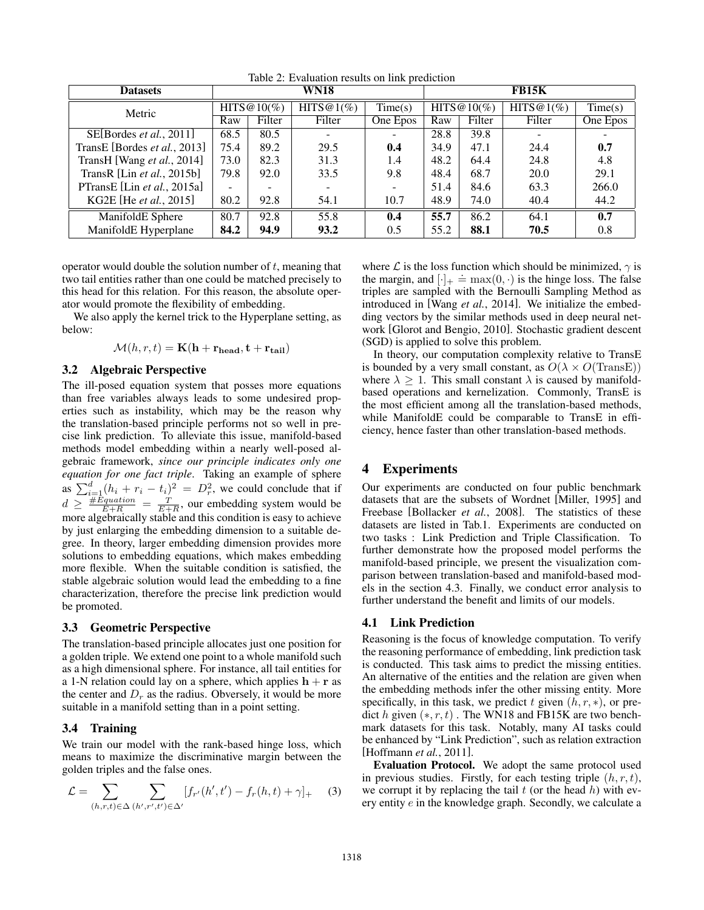| <b>Datasets</b>              |                |        | <b>WN18</b>              |          | <b>FB15K</b>   |        |           |          |
|------------------------------|----------------|--------|--------------------------|----------|----------------|--------|-----------|----------|
| Metric                       | HITS $@10(\%)$ |        | HITS@1(%)                | Time(s)  | HITS $@10(\%)$ |        | HITS@1(%) | Time(s)  |
|                              | Raw            | Filter | Filter                   | One Epos | Raw            | Filter | Filter    | One Epos |
| SE[Bordes et al., 2011]      | 68.5           | 80.5   | $\overline{\phantom{0}}$ |          | 28.8           | 39.8   |           |          |
| TransE [Bordes et al., 2013] | 75.4           | 89.2   | 29.5                     | 0.4      | 34.9           | 47.1   | 24.4      | 0.7      |
| TransH [Wang et al., 2014]   | 73.0           | 82.3   | 31.3                     | 1.4      | 48.2           | 64.4   | 24.8      | 4.8      |
| TransR [Lin $et$ al., 2015b] | 79.8           | 92.0   | 33.5                     | 9.8      | 48.4           | 68.7   | 20.0      | 29.1     |
| PTransE [Lin et al., 2015a]  | -              |        |                          |          | 51.4           | 84.6   | 63.3      | 266.0    |
| KG2E [He et al., 2015]       | 80.2           | 92.8   | 54.1                     | 10.7     | 48.9           | 74.0   | 40.4      | 44.2     |
| ManifoldE Sphere             | 80.7           | 92.8   | 55.8                     | 0.4      | 55.7           | 86.2   | 64.1      | 0.7      |
| ManifoldE Hyperplane         | 84.2           | 94.9   | 93.2                     | 0.5      | 55.2           | 88.1   | 70.5      | 0.8      |

Table 2: Evaluation results on link prediction

operator would double the solution number of *t*, meaning that two tail entities rather than one could be matched precisely to this head for this relation. For this reason, the absolute operator would promote the flexibility of embedding.

We also apply the kernel trick to the Hyperplane setting, as below:

$$
\mathcal{M}(h,r,t) = \mathbf{K}(\mathbf{h} + \mathbf{r_{head}}, \mathbf{t} + \mathbf{r_{tail}})
$$

#### 3.2 Algebraic Perspective

The ill-posed equation system that posses more equations than free variables always leads to some undesired properties such as instability, which may be the reason why the translation-based principle performs not so well in precise link prediction. To alleviate this issue, manifold-based methods model embedding within a nearly well-posed algebraic framework, *since our principle indicates only one equation for one fact triple*. Taking an example of sphere as  $\sum_{i=1}^{d} (h_i + r_i - t_i)^2 = D_r^2$ , we could conclude that if  $d \geq \frac{\#Equation}{E+R} = \frac{T}{E+R}$ , our embedding system would be more algebraically stable and this condition is easy to achieve by just enlarging the embedding dimension to a suitable degree. In theory, larger embedding dimension provides more solutions to embedding equations, which makes embedding more flexible. When the suitable condition is satisfied, the stable algebraic solution would lead the embedding to a fine characterization, therefore the precise link prediction would be promoted.

#### 3.3 Geometric Perspective

The translation-based principle allocates just one position for a golden triple. We extend one point to a whole manifold such as a high dimensional sphere. For instance, all tail entities for a 1-N relation could lay on a sphere, which applies  $h + r$  as the center and  $D_r$  as the radius. Obversely, it would be more suitable in a manifold setting than in a point setting.

## 3.4 Training

We train our model with the rank-based hinge loss, which means to maximize the discriminative margin between the golden triples and the false ones.

$$
\mathcal{L} = \sum_{(h,r,t)\in\Delta} \sum_{(h',r',t')\in\Delta'} [f_{r'}(h',t') - f_r(h,t) + \gamma]_+ \tag{3}
$$

where  $\mathcal L$  is the loss function which should be minimized,  $\gamma$  is the margin, and  $[\cdot]_+ = \max(0, \cdot)$  is the hinge loss. The false triples are sampled with the Bernoulli Sampling Method as introduced in [Wang *et al.*, 2014]. We initialize the embedding vectors by the similar methods used in deep neural network [Glorot and Bengio, 2010]. Stochastic gradient descent (SGD) is applied to solve this problem.

In theory, our computation complexity relative to TransE is bounded by a very small constant, as  $O(\lambda \times O(\text{TransE}))$ where  $\lambda \geq 1$ . This small constant  $\lambda$  is caused by manifoldbased operations and kernelization. Commonly, TransE is the most efficient among all the translation-based methods, while ManifoldE could be comparable to TransE in efficiency, hence faster than other translation-based methods.

## 4 Experiments

Our experiments are conducted on four public benchmark datasets that are the subsets of Wordnet [Miller, 1995] and Freebase [Bollacker *et al.*, 2008]. The statistics of these datasets are listed in Tab.1. Experiments are conducted on two tasks : Link Prediction and Triple Classification. To further demonstrate how the proposed model performs the manifold-based principle, we present the visualization comparison between translation-based and manifold-based models in the section 4.3. Finally, we conduct error analysis to further understand the benefit and limits of our models.

## 4.1 Link Prediction

Reasoning is the focus of knowledge computation. To verify the reasoning performance of embedding, link prediction task is conducted. This task aims to predict the missing entities. An alternative of the entities and the relation are given when the embedding methods infer the other missing entity. More specifically, in this task, we predict  $t$  given  $(h, r, *)$ , or predict  $h$  given  $(*, r, t)$ . The WN18 and FB15K are two benchmark datasets for this task. Notably, many AI tasks could be enhanced by "Link Prediction", such as relation extraction [Hoffmann *et al.*, 2011].

Evaluation Protocol. We adopt the same protocol used in previous studies. Firstly, for each testing triple (*h, r, t*), we corrupt it by replacing the tail *t* (or the head *h*) with every entity *e* in the knowledge graph. Secondly, we calculate a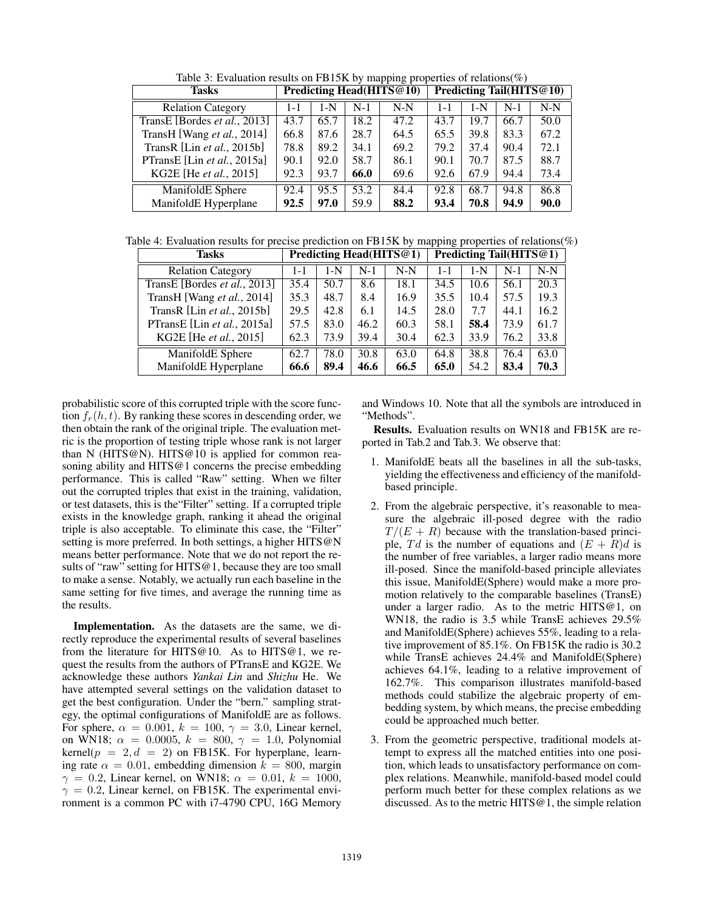Table 3: Evaluation results on FB15K by mapping properties of relations(%)

| <b>Tasks</b>                 | Predicting Head(HITS@10) |       |       | Predicting Tail(HITS@10) |         |      |       |       |
|------------------------------|--------------------------|-------|-------|--------------------------|---------|------|-------|-------|
| <b>Relation Category</b>     | $1 - 1$                  | $1-N$ | $N-1$ | $N-N$                    | $1 - 1$ | 1-N  | $N-1$ | $N-N$ |
| TransE [Bordes et al., 2013] | 43.7                     | 65.7  | 18.2  | 47.2                     | 43.7    | 19.7 | 66.7  | 50.0  |
| TransH [Wang et al., 2014]   | 66.8                     | 87.6  | 28.7  | 64.5                     | 65.5    | 39.8 | 83.3  | 67.2  |
| TransR [Lin et al., 2015b]   | 78.8                     | 89.2  | 34.1  | 69.2                     | 79.2    | 37.4 | 90.4  | 72.1  |
| PTransE [Lin et al., 2015a]  | 90.1                     | 92.0  | 58.7  | 86.1                     | 90.1    | 70.7 | 87.5  | 88.7  |
| KG2E [He et al., 2015]       | 92.3                     | 93.7  | 66.0  | 69.6                     | 92.6    | 67.9 | 94.4  | 73.4  |
| ManifoldE Sphere             | 92.4                     | 95.5  | 53.2  | 84.4                     | 92.8    | 68.7 | 94.8  | 86.8  |
| ManifoldE Hyperplane         | 92.5                     | 97.0  | 59.9  | 88.2                     | 93.4    | 70.8 | 94.9  | 90.0  |

Table 4: Evaluation results for precise prediction on FB15K by mapping properties of relations(%)

| <b>Tasks</b>                 |         | Predicting Head(HITS@1) |       |       |         | Predicting Tail(HITS@1) |       |       |  |
|------------------------------|---------|-------------------------|-------|-------|---------|-------------------------|-------|-------|--|
| <b>Relation Category</b>     | $1 - 1$ | 1-N                     | $N-1$ | $N-N$ | $1 - 1$ | $1-N$                   | $N-1$ | $N-N$ |  |
| TransE [Bordes et al., 2013] | 35.4    | 50.7                    | 8.6   | 18.1  | 34.5    | 10.6                    | 56.1  | 20.3  |  |
| TransH [Wang et al., 2014]   | 35.3    | 48.7                    | 8.4   | 16.9  | 35.5    | 10.4                    | 57.5  | 19.3  |  |
| TransR [Lin $et$ al., 2015b] | 29.5    | 42.8                    | 6.1   | 14.5  | 28.0    | 7.7                     | 44.1  | 16.2  |  |
| PTransE [Lin et al., 2015a]  | 57.5    | 83.0                    | 46.2  | 60.3  | 58.1    | 58.4                    | 73.9  | 61.7  |  |
| KG2E [He et al., 2015]       | 62.3    | 73.9                    | 39.4  | 30.4  | 62.3    | 33.9                    | 76.2  | 33.8  |  |
| ManifoldE Sphere             | 62.7    | 78.0                    | 30.8  | 63.0  | 64.8    | 38.8                    | 76.4  | 63.0  |  |
| ManifoldE Hyperplane         | 66.6    | 89.4                    | 46.6  | 66.5  | 65.0    | 54.2                    | 83.4  | 70.3  |  |

probabilistic score of this corrupted triple with the score function  $f_r(h, t)$ . By ranking these scores in descending order, we then obtain the rank of the original triple. The evaluation metric is the proportion of testing triple whose rank is not larger than N (HITS@N). HITS@10 is applied for common reasoning ability and HITS@1 concerns the precise embedding performance. This is called "Raw" setting. When we filter out the corrupted triples that exist in the training, validation, or test datasets, this is the"Filter" setting. If a corrupted triple exists in the knowledge graph, ranking it ahead the original triple is also acceptable. To eliminate this case, the "Filter" setting is more preferred. In both settings, a higher HITS@N means better performance. Note that we do not report the results of "raw" setting for HITS@1, because they are too small to make a sense. Notably, we actually run each baseline in the same setting for five times, and average the running time as the results.

Implementation. As the datasets are the same, we directly reproduce the experimental results of several baselines from the literature for HITS@10. As to HITS@1, we request the results from the authors of PTransE and KG2E. We acknowledge these authors *Yankai Lin* and *Shizhu* He. We have attempted several settings on the validation dataset to get the best configuration. Under the "bern." sampling strategy, the optimal configurations of ManifoldE are as follows. For sphere,  $\alpha = 0.001$ ,  $k = 100$ ,  $\gamma = 3.0$ , Linear kernel, on WN18;  $\alpha = 0.0005$ ,  $k = 800$ ,  $\gamma = 1.0$ , Polynomial kernel( $p = 2, d = 2$ ) on FB15K. For hyperplane, learning rate  $\alpha = 0.01$ , embedding dimension  $k = 800$ , margin  $\gamma = 0.2$ , Linear kernel, on WN18;  $\alpha = 0.01$ ,  $k = 1000$ ,  $\gamma = 0.2$ , Linear kernel, on FB15K. The experimental environment is a common PC with i7-4790 CPU, 16G Memory and Windows 10. Note that all the symbols are introduced in "Methods".

Results. Evaluation results on WN18 and FB15K are reported in Tab.2 and Tab.3. We observe that:

- 1. ManifoldE beats all the baselines in all the sub-tasks, yielding the effectiveness and efficiency of the manifoldbased principle.
- 2. From the algebraic perspective, it's reasonable to measure the algebraic ill-posed degree with the radio  $T/(E + R)$  because with the translation-based principle,  $Td$  is the number of equations and  $(E + R)d$  is the number of free variables, a larger radio means more ill-posed. Since the manifold-based principle alleviates this issue, ManifoldE(Sphere) would make a more promotion relatively to the comparable baselines (TransE) under a larger radio. As to the metric HITS@1, on WN18, the radio is 3.5 while TransE achieves 29.5% and ManifoldE(Sphere) achieves 55%, leading to a relative improvement of 85.1%. On FB15K the radio is 30.2 while TransE achieves 24.4% and ManifoldE(Sphere) achieves 64.1%, leading to a relative improvement of 162.7%. This comparison illustrates manifold-based methods could stabilize the algebraic property of embedding system, by which means, the precise embedding could be approached much better.
- 3. From the geometric perspective, traditional models attempt to express all the matched entities into one position, which leads to unsatisfactory performance on complex relations. Meanwhile, manifold-based model could perform much better for these complex relations as we discussed. As to the metric  $HITS@1$ , the simple relation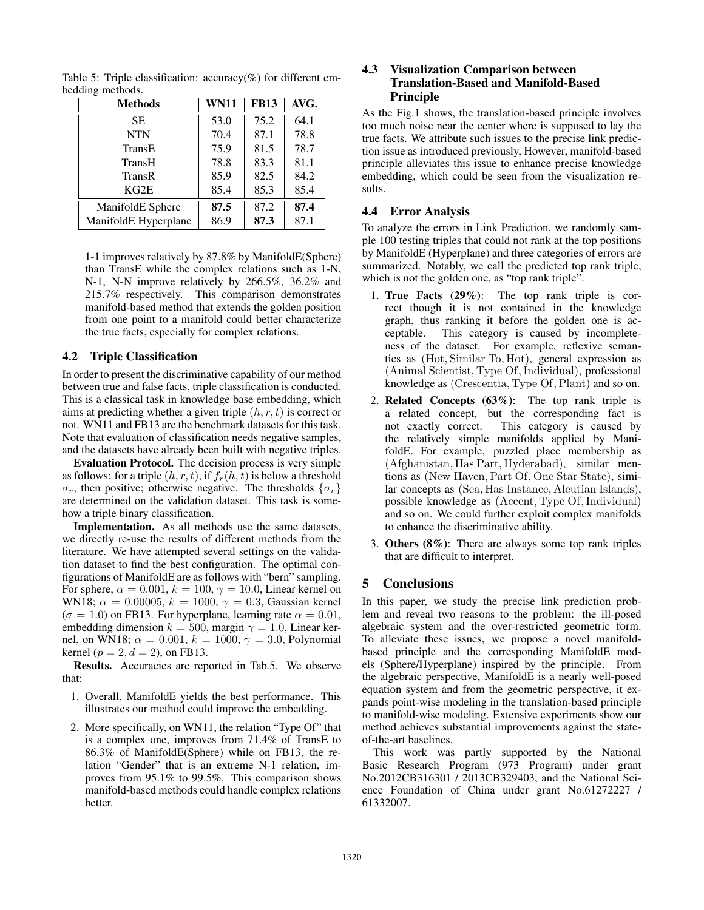| <b>Methods</b>       | <b>WN11</b> | <b>FB13</b> | AVG. |
|----------------------|-------------|-------------|------|
| SE.                  | 53.0        | 75.2        | 64.1 |
| <b>NTN</b>           | 70.4        | 87.1        | 78.8 |
| TransE               | 75.9        | 81.5        | 78.7 |
| TransH               | 78.8        | 83.3        | 81.1 |
| TransR               | 85.9        | 82.5        | 84.2 |
| KG2E                 | 85.4        | 85.3        | 85.4 |
| ManifoldE Sphere     | 87.5        | 87.2        | 87.4 |
| ManifoldE Hyperplane | 86.9        | 87.3        | 87.1 |

Table 5: Triple classification:  $accuracy(\%)$  for different embedding methods.

1-1 improves relatively by 87.8% by ManifoldE(Sphere) than TransE while the complex relations such as 1-N, N-1, N-N improve relatively by 266.5%, 36.2% and 215.7% respectively. This comparison demonstrates manifold-based method that extends the golden position from one point to a manifold could better characterize the true facts, especially for complex relations.

#### 4.2 Triple Classification

In order to present the discriminative capability of our method between true and false facts, triple classification is conducted. This is a classical task in knowledge base embedding, which aims at predicting whether a given triple (*h, r, t*) is correct or not. WN11 and FB13 are the benchmark datasets for this task. Note that evaluation of classification needs negative samples, and the datasets have already been built with negative triples.

Evaluation Protocol. The decision process is very simple as follows: for a triple  $(h, r, t)$ , if  $f_r(h, t)$  is below a threshold  $\sigma_r$ , then positive; otherwise negative. The thresholds  $\{\sigma_r\}$ are determined on the validation dataset. This task is somehow a triple binary classification.

Implementation. As all methods use the same datasets, we directly re-use the results of different methods from the literature. We have attempted several settings on the validation dataset to find the best configuration. The optimal configurations of ManifoldE are as follows with "bern" sampling. For sphere,  $\alpha = 0.001$ ,  $k = 100$ ,  $\gamma = 10.0$ , Linear kernel on WN18;  $\alpha = 0.00005$ ,  $k = 1000$ ,  $\gamma = 0.3$ , Gaussian kernel  $(\sigma = 1.0)$  on FB13. For hyperplane, learning rate  $\alpha = 0.01$ , embedding dimension  $k = 500$ , margin  $\gamma = 1.0$ , Linear kernel, on WN18;  $\alpha = 0.001$ ,  $k = 1000$ ,  $\gamma = 3.0$ , Polynomial kernel ( $p = 2, d = 2$ ), on FB13.

Results. Accuracies are reported in Tab.5. We observe that:

- 1. Overall, ManifoldE yields the best performance. This illustrates our method could improve the embedding.
- 2. More specifically, on WN11, the relation "Type Of" that is a complex one, improves from 71.4% of TransE to 86.3% of ManifoldE(Sphere) while on FB13, the relation "Gender" that is an extreme N-1 relation, improves from 95.1% to 99.5%. This comparison shows manifold-based methods could handle complex relations better.

## 4.3 Visualization Comparison between Translation-Based and Manifold-Based Principle

As the Fig.1 shows, the translation-based principle involves too much noise near the center where is supposed to lay the true facts. We attribute such issues to the precise link prediction issue as introduced previously, However, manifold-based principle alleviates this issue to enhance precise knowledge embedding, which could be seen from the visualization results.

#### 4.4 Error Analysis

To analyze the errors in Link Prediction, we randomly sample 100 testing triples that could not rank at the top positions by ManifoldE (Hyperplane) and three categories of errors are summarized. Notably, we call the predicted top rank triple, which is not the golden one, as "top rank triple".

- 1. True Facts (29%): The top rank triple is correct though it is not contained in the knowledge graph, thus ranking it before the golden one is acceptable. This category is caused by incompleteness of the dataset. For example, reflexive semantics as (Hot*,* Similar To*,* Hot), general expression as (Animal Scientist*,* Type Of*,*Individual), professional knowledge as (Crescentia*,* Type Of*,*Plant) and so on.
- 2. Related Concepts  $(63\%)$ : The top rank triple is a related concept, but the corresponding fact is not exactly correct. This category is caused by the relatively simple manifolds applied by ManifoldE. For example, puzzled place membership as (Afghanistan*,* Has Part*,* Hyderabad), similar mentions as (New Haven*,*Part Of*,* One Star State), similar concepts as (Sea*,* Has Instance*,* Aleutian Islands), possible knowledge as (Accent*,* Type Of*,*Individual) and so on. We could further exploit complex manifolds to enhance the discriminative ability.
- 3. Others  $(8\%)$ : There are always some top rank triples that are difficult to interpret.

## 5 Conclusions

In this paper, we study the precise link prediction problem and reveal two reasons to the problem: the ill-posed algebraic system and the over-restricted geometric form. To alleviate these issues, we propose a novel manifoldbased principle and the corresponding ManifoldE models (Sphere/Hyperplane) inspired by the principle. From the algebraic perspective, ManifoldE is a nearly well-posed equation system and from the geometric perspective, it expands point-wise modeling in the translation-based principle to manifold-wise modeling. Extensive experiments show our method achieves substantial improvements against the stateof-the-art baselines.

This work was partly supported by the National Basic Research Program (973 Program) under grant No.2012CB316301 / 2013CB329403, and the National Science Foundation of China under grant No.61272227 / 61332007.